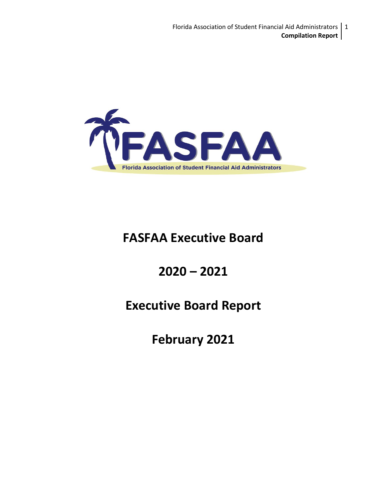

# **FASFAA Executive Board**

# **2020 – 2021**

# **Executive Board Report**

**February 2021**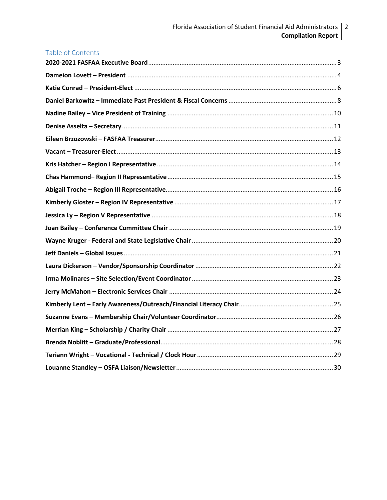| <b>Table of Contents</b> |  |
|--------------------------|--|
|                          |  |
|                          |  |
|                          |  |
|                          |  |
|                          |  |
|                          |  |
|                          |  |
|                          |  |
|                          |  |
|                          |  |
|                          |  |
|                          |  |
|                          |  |
|                          |  |
|                          |  |
|                          |  |
|                          |  |
|                          |  |
|                          |  |
|                          |  |
|                          |  |
|                          |  |
|                          |  |
|                          |  |
|                          |  |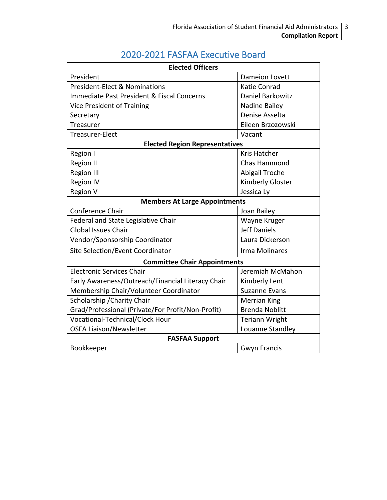# 2020-2021 FASFAA Executive Board

<span id="page-2-0"></span>

| <b>Elected Officers</b>                           |                       |  |
|---------------------------------------------------|-----------------------|--|
| President                                         | <b>Dameion Lovett</b> |  |
| <b>President-Elect &amp; Nominations</b>          | <b>Katie Conrad</b>   |  |
| Immediate Past President & Fiscal Concerns        | Daniel Barkowitz      |  |
| Vice President of Training                        | Nadine Bailey         |  |
| Secretary                                         | Denise Asselta        |  |
| Treasurer                                         | Eileen Brzozowski     |  |
| <b>Treasurer-Elect</b>                            | Vacant                |  |
| <b>Elected Region Representatives</b>             |                       |  |
| Region I                                          | <b>Kris Hatcher</b>   |  |
| <b>Region II</b>                                  | <b>Chas Hammond</b>   |  |
| <b>Region III</b>                                 | Abigail Troche        |  |
| <b>Region IV</b>                                  | Kimberly Gloster      |  |
| <b>Region V</b>                                   | Jessica Ly            |  |
| <b>Members At Large Appointments</b>              |                       |  |
| Conference Chair                                  | Joan Bailey           |  |
| Federal and State Legislative Chair               | Wayne Kruger          |  |
| <b>Global Issues Chair</b>                        | <b>Jeff Daniels</b>   |  |
| Vendor/Sponsorship Coordinator                    | Laura Dickerson       |  |
| Site Selection/Event Coordinator                  | Irma Molinares        |  |
| <b>Committee Chair Appointments</b>               |                       |  |
| <b>Electronic Services Chair</b>                  | Jeremiah McMahon      |  |
| Early Awareness/Outreach/Financial Literacy Chair | Kimberly Lent         |  |
| Membership Chair/Volunteer Coordinator            | <b>Suzanne Evans</b>  |  |
| Scholarship / Charity Chair                       | <b>Merrian King</b>   |  |
| Grad/Professional (Private/For Profit/Non-Profit) | <b>Brenda Noblitt</b> |  |
| Vocational-Technical/Clock Hour                   | <b>Teriann Wright</b> |  |
| <b>OSFA Liaison/Newsletter</b>                    | Louanne Standley      |  |
| <b>FASFAA Support</b>                             |                       |  |
| Bookkeeper                                        | <b>Gwyn Francis</b>   |  |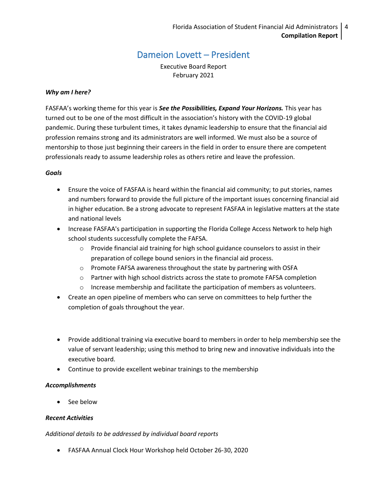### Dameion Lovett – President

Executive Board Report February 2021

#### <span id="page-3-0"></span>*Why am I here?*

FASFAA's working theme for this year is *See the Possibilities, Expand Your Horizons.* This year has turned out to be one of the most difficult in the association's history with the COVID-19 global pandemic. During these turbulent times, it takes dynamic leadership to ensure that the financial aid profession remains strong and its administrators are well informed. We must also be a source of mentorship to those just beginning their careers in the field in order to ensure there are competent professionals ready to assume leadership roles as others retire and leave the profession.

#### *Goals*

- Ensure the voice of FASFAA is heard within the financial aid community; to put stories, names and numbers forward to provide the full picture of the important issues concerning financial aid in higher education. Be a strong advocate to represent FASFAA in legislative matters at the state and national levels
- Increase FASFAA's participation in supporting the Florida College Access Network to help high school students successfully complete the FAFSA.
	- o Provide financial aid training for high school guidance counselors to assist in their preparation of college bound seniors in the financial aid process.
	- o Promote FAFSA awareness throughout the state by partnering with OSFA
	- o Partner with high school districts across the state to promote FAFSA completion
	- o Increase membership and facilitate the participation of members as volunteers.
- Create an open pipeline of members who can serve on committees to help further the completion of goals throughout the year.
- Provide additional training via executive board to members in order to help membership see the value of servant leadership; using this method to bring new and innovative individuals into the executive board.
- Continue to provide excellent webinar trainings to the membership

#### *Accomplishments*

• See below

#### *Recent Activities*

*Additional details to be addressed by individual board reports*

• FASFAA Annual Clock Hour Workshop held October 26-30, 2020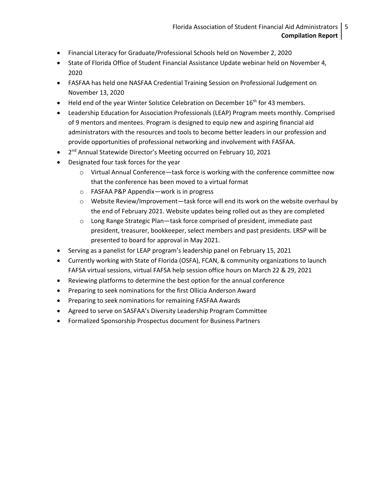- Financial Literacy for Graduate/Professional Schools held on November 2, 2020
- State of Florida Office of Student Financial Assistance Update webinar held on November 4, 2020
- FASFAA has held one NASFAA Credential Training Session on Professional Judgement on November 13, 2020
- $\bullet$  Held end of the year Winter Solstice Celebration on December 16<sup>th</sup> for 43 members.
- Leadership Education for Association Professionals (LEAP) Program meets monthly. Comprised of 9 mentors and mentees. Program is designed to equip new and aspiring financial aid administrators with the resources and tools to become better leaders in our profession and provide opportunities of professional networking and involvement with FASFAA.
- 2<sup>nd</sup> Annual Statewide Director's Meeting occurred on February 10, 2021
- Designated four task forces for the year
	- $\circ$  Virtual Annual Conference—task force is working with the conference committee now that the conference has been moved to a virtual format
	- o FASFAA P&P Appendix—work is in progress
	- $\circ$  Website Review/Improvement—task force will end its work on the website overhaul by the end of February 2021. Website updates being rolled out as they are completed
	- o Long Range Strategic Plan—task force comprised of president, immediate past president, treasurer, bookkeeper, select members and past presidents. LRSP will be presented to board for approval in May 2021.
- Serving as a panelist for LEAP program's leadership panel on February 15, 2021
- Currently working with State of Florida (OSFA), FCAN, & community organizations to launch FAFSA virtual sessions, virtual FAFSA help session office hours on March 22 & 29, 2021
- Reviewing platforms to determine the best option for the annual conference
- Preparing to seek nominations for the first Ollicia Anderson Award
- Preparing to seek nominations for remaining FASFAA Awards
- Agreed to serve on SASFAA's Diversity Leadership Program Committee
- <span id="page-4-0"></span>• Formalized Sponsorship Prospectus document for Business Partners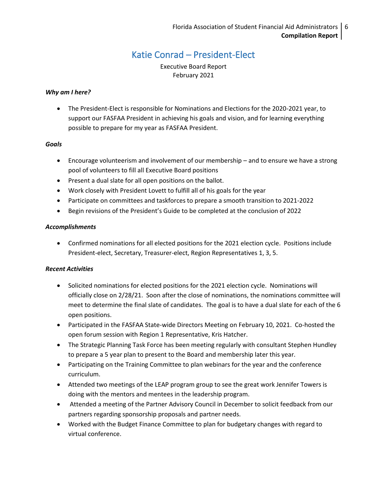### Katie Conrad – President-Elect

Executive Board Report February 2021

#### *Why am I here?*

• The President-Elect is responsible for Nominations and Elections for the 2020-2021 year, to support our FASFAA President in achieving his goals and vision, and for learning everything possible to prepare for my year as FASFAA President.

#### *Goals*

- Encourage volunteerism and involvement of our membership and to ensure we have a strong pool of volunteers to fill all Executive Board positions
- Present a dual slate for all open positions on the ballot.
- Work closely with President Lovett to fulfill all of his goals for the year
- Participate on committees and taskforces to prepare a smooth transition to 2021-2022
- Begin revisions of the President's Guide to be completed at the conclusion of 2022

#### *Accomplishments*

• Confirmed nominations for all elected positions for the 2021 election cycle. Positions include President-elect, Secretary, Treasurer-elect, Region Representatives 1, 3, 5.

- Solicited nominations for elected positions for the 2021 election cycle. Nominations will officially close on 2/28/21. Soon after the close of nominations, the nominations committee will meet to determine the final slate of candidates. The goal is to have a dual slate for each of the 6 open positions.
- Participated in the FASFAA State-wide Directors Meeting on February 10, 2021. Co-hosted the open forum session with Region 1 Representative, Kris Hatcher.
- The Strategic Planning Task Force has been meeting regularly with consultant Stephen Hundley to prepare a 5 year plan to present to the Board and membership later this year.
- Participating on the Training Committee to plan webinars for the year and the conference curriculum.
- Attended two meetings of the LEAP program group to see the great work Jennifer Towers is doing with the mentors and mentees in the leadership program.
- Attended a meeting of the Partner Advisory Council in December to solicit feedback from our partners regarding sponsorship proposals and partner needs.
- Worked with the Budget Finance Committee to plan for budgetary changes with regard to virtual conference.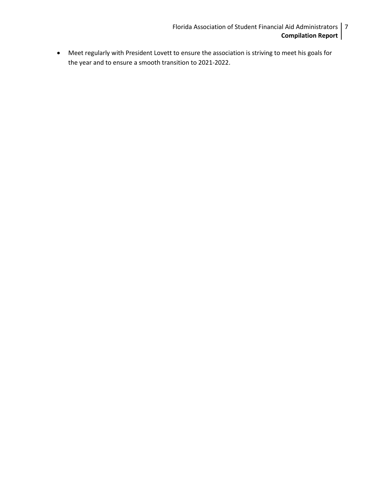- Florida Association of Student Financial Aid Administrators 7 **Compilation Report**
- <span id="page-6-0"></span>• Meet regularly with President Lovett to ensure the association is striving to meet his goals for the year and to ensure a smooth transition to 2021-2022.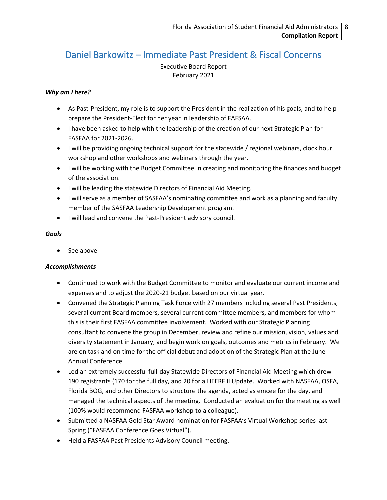## Daniel Barkowitz – Immediate Past President & Fiscal Concerns

Executive Board Report February 2021

#### *Why am I here?*

- As Past-President, my role is to support the President in the realization of his goals, and to help prepare the President-Elect for her year in leadership of FAFSAA.
- I have been asked to help with the leadership of the creation of our next Strategic Plan for FASFAA for 2021-2026.
- I will be providing ongoing technical support for the statewide / regional webinars, clock hour workshop and other workshops and webinars through the year.
- I will be working with the Budget Committee in creating and monitoring the finances and budget of the association.
- I will be leading the statewide Directors of Financial Aid Meeting.
- I will serve as a member of SASFAA's nominating committee and work as a planning and faculty member of the SASFAA Leadership Development program.
- I will lead and convene the Past-President advisory council.

#### *Goals*

• See above

#### *Accomplishments*

- Continued to work with the Budget Committee to monitor and evaluate our current income and expenses and to adjust the 2020-21 budget based on our virtual year.
- Convened the Strategic Planning Task Force with 27 members including several Past Presidents, several current Board members, several current committee members, and members for whom this is their first FASFAA committee involvement. Worked with our Strategic Planning consultant to convene the group in December, review and refine our mission, vision, values and diversity statement in January, and begin work on goals, outcomes and metrics in February. We are on task and on time for the official debut and adoption of the Strategic Plan at the June Annual Conference.
- Led an extremely successful full-day Statewide Directors of Financial Aid Meeting which drew 190 registrants (170 for the full day, and 20 for a HEERF II Update. Worked with NASFAA, OSFA, Florida BOG, and other Directors to structure the agenda, acted as emcee for the day, and managed the technical aspects of the meeting. Conducted an evaluation for the meeting as well (100% would recommend FASFAA workshop to a colleague).
- Submitted a NASFAA Gold Star Award nomination for FASFAA's Virtual Workshop series last Spring ("FASFAA Conference Goes Virtual").
- Held a FASFAA Past Presidents Advisory Council meeting.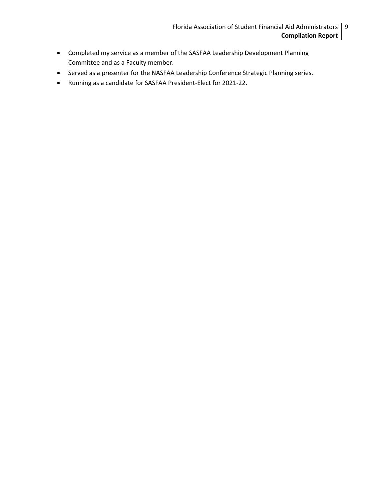- Completed my service as a member of the SASFAA Leadership Development Planning Committee and as a Faculty member.
- Served as a presenter for the NASFAA Leadership Conference Strategic Planning series.
- Running as a candidate for SASFAA President-Elect for 2021-22.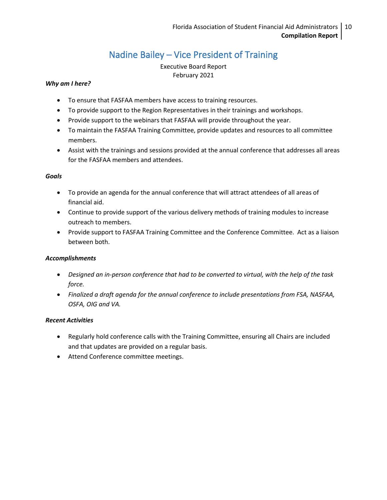# Nadine Bailey – Vice President of Training

Executive Board Report February 2021

#### <span id="page-9-0"></span>*Why am I here?*

- To ensure that FASFAA members have access to training resources.
- To provide support to the Region Representatives in their trainings and workshops.
- Provide support to the webinars that FASFAA will provide throughout the year.
- To maintain the FASFAA Training Committee, provide updates and resources to all committee members.
- Assist with the trainings and sessions provided at the annual conference that addresses all areas for the FASFAA members and attendees.

#### *Goals*

- To provide an agenda for the annual conference that will attract attendees of all areas of financial aid.
- Continue to provide support of the various delivery methods of training modules to increase outreach to members.
- Provide support to FASFAA Training Committee and the Conference Committee. Act as a liaison between both.

#### *Accomplishments*

- *Designed an in-person conference that had to be converted to virtual, with the help of the task force.*
- *Finalized a draft agenda for the annual conference to include presentations from FSA, NASFAA, OSFA, OIG and VA.*

- Regularly hold conference calls with the Training Committee, ensuring all Chairs are included and that updates are provided on a regular basis.
- Attend Conference committee meetings.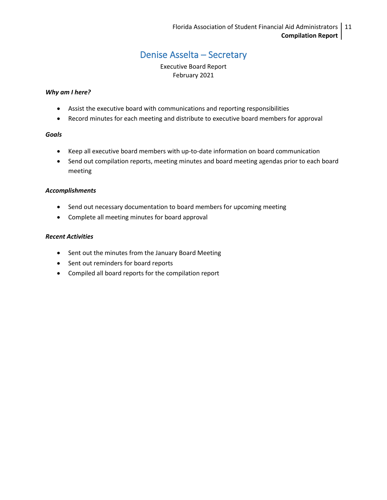# Denise Asselta – Secretary

Executive Board Report February 2021

#### <span id="page-10-0"></span>*Why am I here?*

- Assist the executive board with communications and reporting responsibilities
- Record minutes for each meeting and distribute to executive board members for approval

#### *Goals*

- Keep all executive board members with up-to-date information on board communication
- Send out compilation reports, meeting minutes and board meeting agendas prior to each board meeting

#### *Accomplishments*

- Send out necessary documentation to board members for upcoming meeting
- Complete all meeting minutes for board approval

- Sent out the minutes from the January Board Meeting
- Sent out reminders for board reports
- Compiled all board reports for the compilation report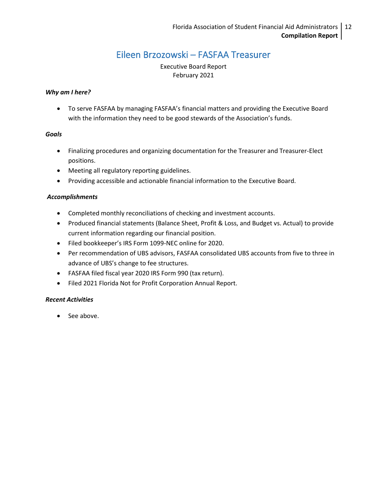### Eileen Brzozowski – FASFAA Treasurer

Executive Board Report February 2021

#### <span id="page-11-0"></span>*Why am I here?*

• To serve FASFAA by managing FASFAA's financial matters and providing the Executive Board with the information they need to be good stewards of the Association's funds.

#### *Goals*

- Finalizing procedures and organizing documentation for the Treasurer and Treasurer-Elect positions.
- Meeting all regulatory reporting guidelines.
- Providing accessible and actionable financial information to the Executive Board.

#### *Accomplishments*

- Completed monthly reconciliations of checking and investment accounts.
- Produced financial statements (Balance Sheet, Profit & Loss, and Budget vs. Actual) to provide current information regarding our financial position.
- Filed bookkeeper's IRS Form 1099-NEC online for 2020.
- Per recommendation of UBS advisors, FASFAA consolidated UBS accounts from five to three in advance of UBS's change to fee structures.
- FASFAA filed fiscal year 2020 IRS Form 990 (tax return).
- Filed 2021 Florida Not for Profit Corporation Annual Report.

#### *Recent Activities*

• See above.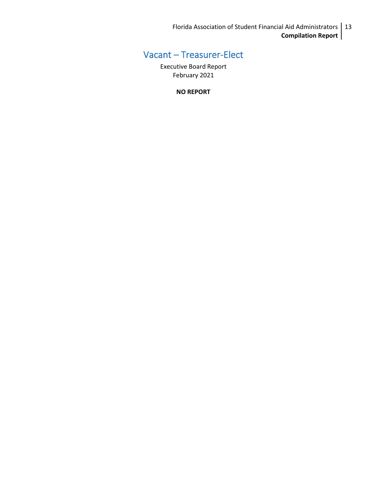Florida Association of Student Financial Aid Administrators 13 **Compilation Report**

# <span id="page-12-0"></span>Vacant – Treasurer-Elect

Executive Board Report February 2021

**NO REPORT**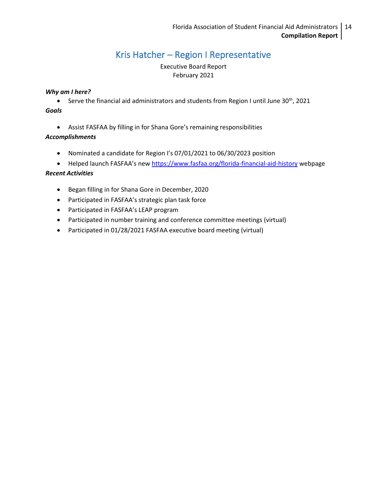# Kris Hatcher – Region I Representative

Executive Board Report February 2021

#### <span id="page-13-0"></span>*Why am I here?*

• Serve the financial aid administrators and students from Region I until June 30<sup>th</sup>, 2021 *Goals* 

• Assist FASFAA by filling in for Shana Gore's remaining responsibilities

#### *Accomplishments*

- Nominated a candidate for Region I's 07/01/2021 to 06/30/2023 position
- Helped launch FASFAA's new <https://www.fasfaa.org/florida-financial-aid-history> webpage

- Began filling in for Shana Gore in December, 2020
- Participated in FASFAA's strategic plan task force
- Participated in FASFAA's LEAP program
- Participated in number training and conference committee meetings (virtual)
- Participated in 01/28/2021 FASFAA executive board meeting (virtual)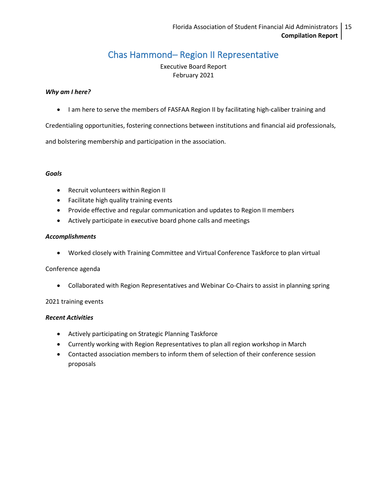# Chas Hammond– Region II Representative

Executive Board Report February 2021

#### <span id="page-14-0"></span>*Why am I here?*

• I am here to serve the members of FASFAA Region II by facilitating high-caliber training and

Credentialing opportunities, fostering connections between institutions and financial aid professionals,

and bolstering membership and participation in the association.

#### *Goals*

- Recruit volunteers within Region II
- Facilitate high quality training events
- Provide effective and regular communication and updates to Region II members
- Actively participate in executive board phone calls and meetings

#### *Accomplishments*

• Worked closely with Training Committee and Virtual Conference Taskforce to plan virtual

#### Conference agenda

• Collaborated with Region Representatives and Webinar Co-Chairs to assist in planning spring

#### 2021 training events

- Actively participating on Strategic Planning Taskforce
- Currently working with Region Representatives to plan all region workshop in March
- Contacted association members to inform them of selection of their conference session proposals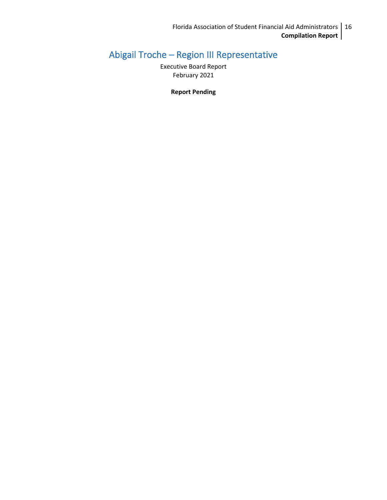# <span id="page-15-0"></span>Abigail Troche – Region III Representative

Executive Board Report February 2021

**Report Pending**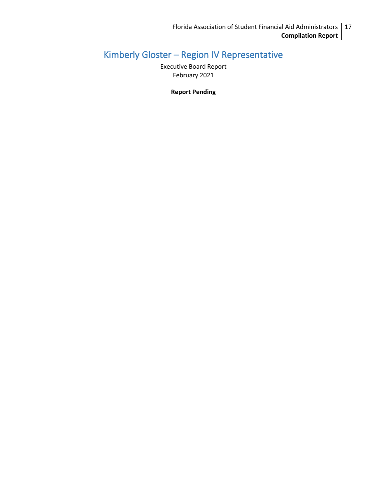# <span id="page-16-0"></span>Kimberly Gloster – Region IV Representative

Executive Board Report February 2021

**Report Pending**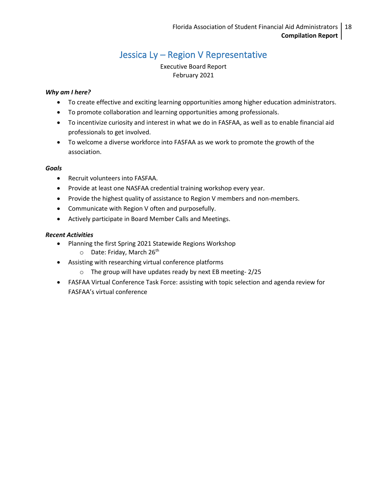# Jessica Ly – Region V Representative

Executive Board Report February 2021

#### <span id="page-17-0"></span>*Why am I here?*

- To create effective and exciting learning opportunities among higher education administrators.
- To promote collaboration and learning opportunities among professionals.
- To incentivize curiosity and interest in what we do in FASFAA, as well as to enable financial aid professionals to get involved.
- To welcome a diverse workforce into FASFAA as we work to promote the growth of the association.

#### *Goals*

- Recruit volunteers into FASFAA.
- Provide at least one NASFAA credential training workshop every year.
- Provide the highest quality of assistance to Region V members and non-members.
- Communicate with Region V often and purposefully.
- Actively participate in Board Member Calls and Meetings.

- Planning the first Spring 2021 Statewide Regions Workshop
	- $\circ$  Date: Friday, March 26<sup>th</sup>
- Assisting with researching virtual conference platforms
	- o The group will have updates ready by next EB meeting- 2/25
- FASFAA Virtual Conference Task Force: assisting with topic selection and agenda review for FASFAA's virtual conference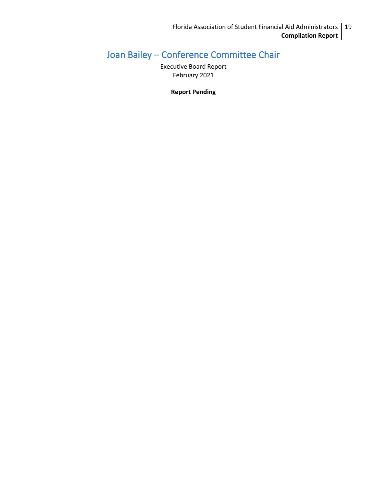# <span id="page-18-0"></span>Joan Bailey – Conference Committee Chair

Executive Board Report February 2021

**Report Pending**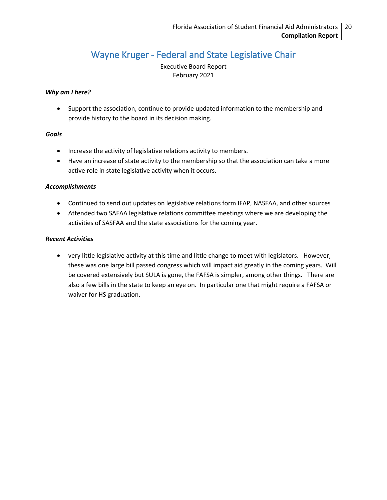## Wayne Kruger - Federal and State Legislative Chair

Executive Board Report February 2021

#### <span id="page-19-0"></span>*Why am I here?*

• Support the association, continue to provide updated information to the membership and provide history to the board in its decision making.

#### *Goals*

- Increase the activity of legislative relations activity to members.
- Have an increase of state activity to the membership so that the association can take a more active role in state legislative activity when it occurs.

#### *Accomplishments*

- Continued to send out updates on legislative relations form IFAP, NASFAA, and other sources
- Attended two SAFAA legislative relations committee meetings where we are developing the activities of SASFAA and the state associations for the coming year.

#### *Recent Activities*

• very little legislative activity at this time and little change to meet with legislators. However, these was one large bill passed congress which will impact aid greatly in the coming years. Will be covered extensively but SULA is gone, the FAFSA is simpler, among other things. There are also a few bills in the state to keep an eye on. In particular one that might require a FAFSA or waiver for HS graduation.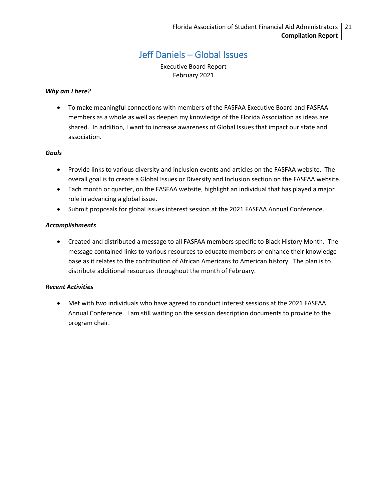### Jeff Daniels – Global Issues

Executive Board Report February 2021

#### <span id="page-20-0"></span>*Why am I here?*

• To make meaningful connections with members of the FASFAA Executive Board and FASFAA members as a whole as well as deepen my knowledge of the Florida Association as ideas are shared. In addition, I want to increase awareness of Global Issues that impact our state and association.

#### *Goals*

- Provide links to various diversity and inclusion events and articles on the FASFAA website. The overall goal is to create a Global Issues or Diversity and Inclusion section on the FASFAA website.
- Each month or quarter, on the FASFAA website, highlight an individual that has played a major role in advancing a global issue.
- Submit proposals for global issues interest session at the 2021 FASFAA Annual Conference.

#### *Accomplishments*

• Created and distributed a message to all FASFAA members specific to Black History Month. The message contained links to various resources to educate members or enhance their knowledge base as it relates to the contribution of African Americans to American history. The plan is to distribute additional resources throughout the month of February.

#### *Recent Activities*

<span id="page-20-1"></span>• Met with two individuals who have agreed to conduct interest sessions at the 2021 FASFAA Annual Conference. I am still waiting on the session description documents to provide to the program chair.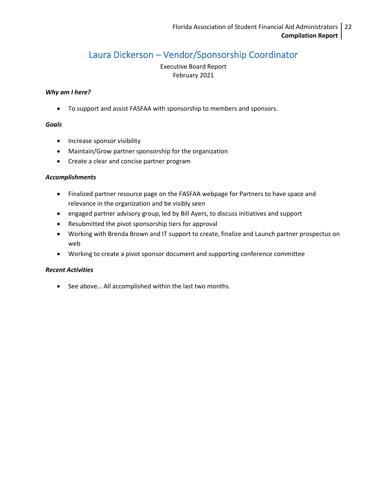## Laura Dickerson – Vendor/Sponsorship Coordinator

Executive Board Report February 2021

#### *Why am I here?*

• To support and assist FASFAA with sponsorship to members and sponsors.

#### *Goals*

- Increase sponsor visibility
- Maintain/Grow partner sponsorship for the organization
- Create a clear and concise partner program

#### *Accomplishments*

- Finalized partner resource page on the FASFAA webpage for Partners to have space and relevance in the organization and be visibly seen
- engaged partner advisory group, led by Bill Ayers, to discuss initiatives and support
- Resubmitted the pivot sponsorship tiers for approval
- Working with Brenda Brown and IT support to create, finalize and Launch partner prospectus on web
- Working to create a pivot sponsor document and supporting conference committee

#### *Recent Activities*

• See above… All accomplished within the last two months.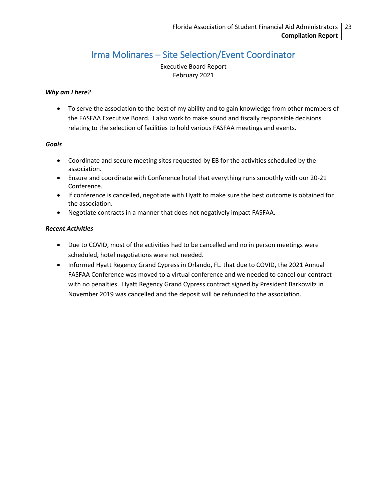## Irma Molinares – Site Selection/Event Coordinator

Executive Board Report February 2021

#### <span id="page-22-0"></span>*Why am I here?*

• To serve the association to the best of my ability and to gain knowledge from other members of the FASFAA Executive Board. I also work to make sound and fiscally responsible decisions relating to the selection of facilities to hold various FASFAA meetings and events.

#### *Goals*

- Coordinate and secure meeting sites requested by EB for the activities scheduled by the association.
- Ensure and coordinate with Conference hotel that everything runs smoothly with our 20-21 Conference.
- If conference is cancelled, negotiate with Hyatt to make sure the best outcome is obtained for the association.
- Negotiate contracts in a manner that does not negatively impact FASFAA.

- Due to COVID, most of the activities had to be cancelled and no in person meetings were scheduled, hotel negotiations were not needed.
- Informed Hyatt Regency Grand Cypress in Orlando, FL. that due to COVID, the 2021 Annual FASFAA Conference was moved to a virtual conference and we needed to cancel our contract with no penalties. Hyatt Regency Grand Cypress contract signed by President Barkowitz in November 2019 was cancelled and the deposit will be refunded to the association.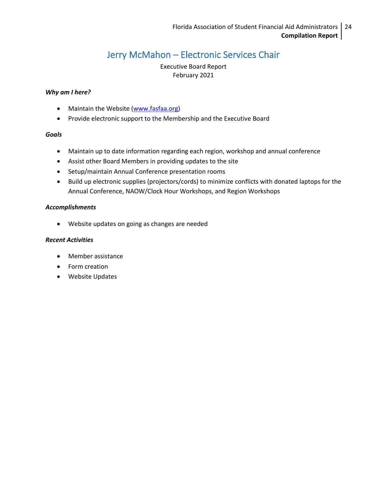## Jerry McMahon – Electronic Services Chair

Executive Board Report February 2021

#### <span id="page-23-0"></span>*Why am I here?*

- Maintain the Website [\(www.fasfaa.org\)](http://www.fasfaa.org/)
- Provide electronic support to the Membership and the Executive Board

#### *Goals*

- Maintain up to date information regarding each region, workshop and annual conference
- Assist other Board Members in providing updates to the site
- Setup/maintain Annual Conference presentation rooms
- Build up electronic supplies (projectors/cords) to minimize conflicts with donated laptops for the Annual Conference, NAOW/Clock Hour Workshops, and Region Workshops

#### *Accomplishments*

• Website updates on going as changes are needed

- Member assistance
- Form creation
- Website Updates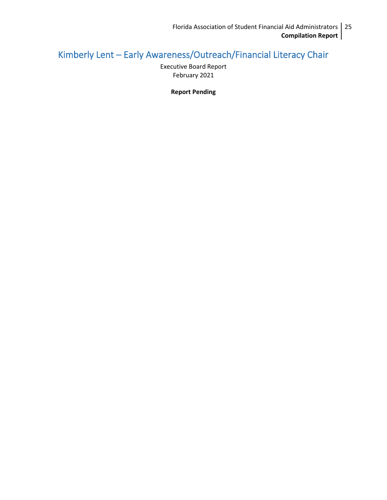# <span id="page-24-1"></span><span id="page-24-0"></span>Kimberly Lent – Early Awareness/Outreach/Financial Literacy Chair

Executive Board Report February 2021

**Report Pending**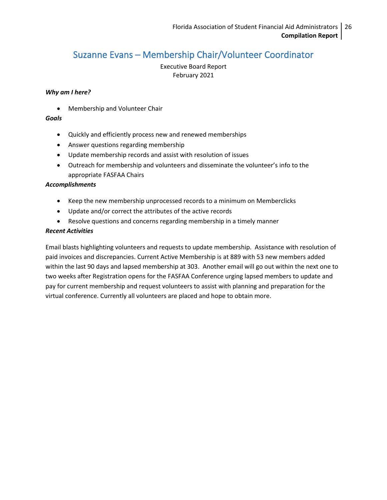### Suzanne Evans – Membership Chair/Volunteer Coordinator

Executive Board Report February 2021

#### *Why am I here?*

• Membership and Volunteer Chair

#### *Goals*

- Quickly and efficiently process new and renewed memberships
- Answer questions regarding membership
- Update membership records and assist with resolution of issues
- Outreach for membership and volunteers and disseminate the volunteer's info to the appropriate FASFAA Chairs

#### *Accomplishments*

- Keep the new membership unprocessed records to a minimum on Memberclicks
- Update and/or correct the attributes of the active records
- Resolve questions and concerns regarding membership in a timely manner

#### *Recent Activities*

Email blasts highlighting volunteers and requests to update membership. Assistance with resolution of paid invoices and discrepancies. Current Active Membership is at 889 with 53 new members added within the last 90 days and lapsed membership at 303. Another email will go out within the next one to two weeks after Registration opens for the FASFAA Conference urging lapsed members to update and pay for current membership and request volunteers to assist with planning and preparation for the virtual conference. Currently all volunteers are placed and hope to obtain more.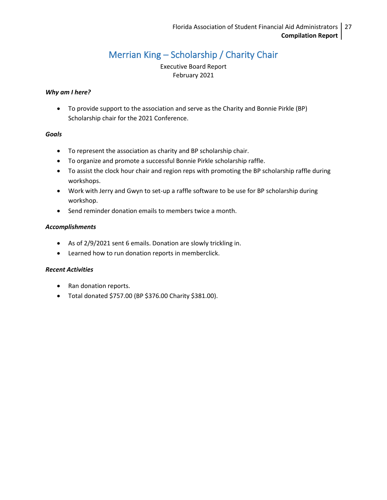# Merrian King – Scholarship / Charity Chair

Executive Board Report February 2021

#### <span id="page-26-0"></span>*Why am I here?*

• To provide support to the association and serve as the Charity and Bonnie Pirkle (BP) Scholarship chair for the 2021 Conference.

#### *Goals*

- To represent the association as charity and BP scholarship chair.
- To organize and promote a successful Bonnie Pirkle scholarship raffle.
- To assist the clock hour chair and region reps with promoting the BP scholarship raffle during workshops.
- Work with Jerry and Gwyn to set-up a raffle software to be use for BP scholarship during workshop.
- Send reminder donation emails to members twice a month.

#### *Accomplishments*

- As of 2/9/2021 sent 6 emails. Donation are slowly trickling in.
- Learned how to run donation reports in memberclick.

- Ran donation reports.
- Total donated \$757.00 (BP \$376.00 Charity \$381.00).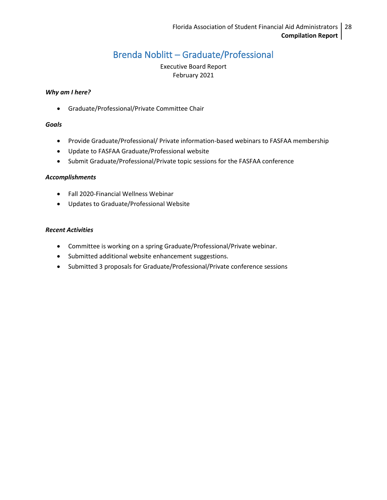## Brenda Noblitt – Graduate/Professional

Executive Board Report February 2021

#### <span id="page-27-0"></span>*Why am I here?*

• Graduate/Professional/Private Committee Chair

#### *Goals*

- Provide Graduate/Professional/ Private information-based webinars to FASFAA membership
- Update to FASFAA Graduate/Professional website
- Submit Graduate/Professional/Private topic sessions for the FASFAA conference

#### *Accomplishments*

- Fall 2020-Financial Wellness Webinar
- Updates to Graduate/Professional Website

- Committee is working on a spring Graduate/Professional/Private webinar.
- Submitted additional website enhancement suggestions.
- Submitted 3 proposals for Graduate/Professional/Private conference sessions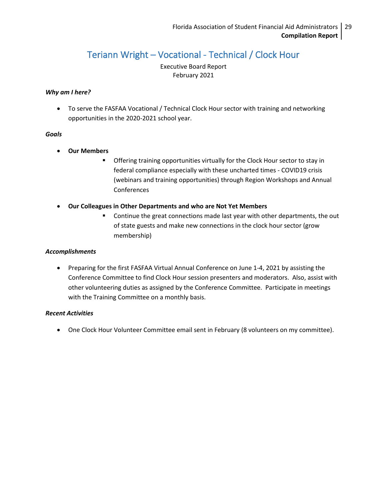# Teriann Wright – Vocational - Technical / Clock Hour

Executive Board Report February 2021

#### <span id="page-28-0"></span>*Why am I here?*

• To serve the FASFAA Vocational / Technical Clock Hour sector with training and networking opportunities in the 2020-2021 school year.

#### *Goals*

- **Our Members**
	- **■** Offering training opportunities virtually for the Clock Hour sector to stay in federal compliance especially with these uncharted times - COVID19 crisis (webinars and training opportunities) through Region Workshops and Annual Conferences
- **Our Colleagues in Other Departments and who are Not Yet Members**
	- Continue the great connections made last year with other departments, the out of state guests and make new connections in the clock hour sector (grow membership)

#### *Accomplishments*

• Preparing for the first FASFAA Virtual Annual Conference on June 1-4, 2021 by assisting the Conference Committee to find Clock Hour session presenters and moderators. Also, assist with other volunteering duties as assigned by the Conference Committee. Participate in meetings with the Training Committee on a monthly basis.

#### *Recent Activities*

• One Clock Hour Volunteer Committee email sent in February (8 volunteers on my committee).